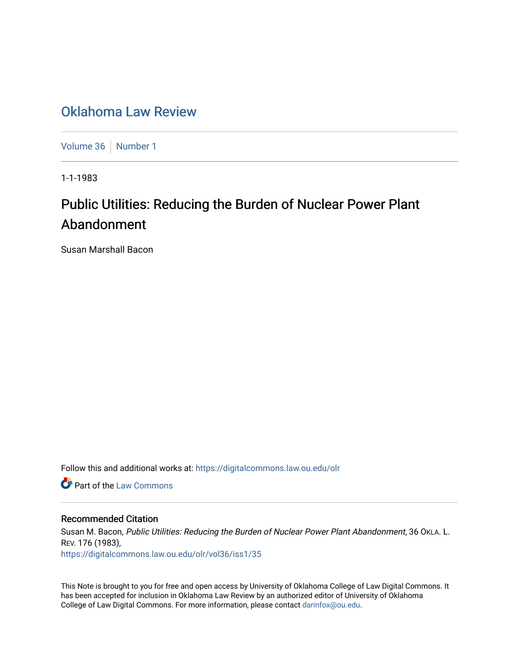# [Oklahoma Law Review](https://digitalcommons.law.ou.edu/olr)

[Volume 36](https://digitalcommons.law.ou.edu/olr/vol36) | [Number 1](https://digitalcommons.law.ou.edu/olr/vol36/iss1)

1-1-1983

# Public Utilities: Reducing the Burden of Nuclear Power Plant Abandonment

Susan Marshall Bacon

Follow this and additional works at: [https://digitalcommons.law.ou.edu/olr](https://digitalcommons.law.ou.edu/olr?utm_source=digitalcommons.law.ou.edu%2Folr%2Fvol36%2Fiss1%2F35&utm_medium=PDF&utm_campaign=PDFCoverPages)

**Part of the [Law Commons](http://network.bepress.com/hgg/discipline/578?utm_source=digitalcommons.law.ou.edu%2Folr%2Fvol36%2Fiss1%2F35&utm_medium=PDF&utm_campaign=PDFCoverPages)** 

# Recommended Citation

Susan M. Bacon, Public Utilities: Reducing the Burden of Nuclear Power Plant Abandonment, 36 OKLA. L. REV. 176 (1983), [https://digitalcommons.law.ou.edu/olr/vol36/iss1/35](https://digitalcommons.law.ou.edu/olr/vol36/iss1/35?utm_source=digitalcommons.law.ou.edu%2Folr%2Fvol36%2Fiss1%2F35&utm_medium=PDF&utm_campaign=PDFCoverPages) 

This Note is brought to you for free and open access by University of Oklahoma College of Law Digital Commons. It has been accepted for inclusion in Oklahoma Law Review by an authorized editor of University of Oklahoma College of Law Digital Commons. For more information, please contact [darinfox@ou.edu.](mailto:darinfox@ou.edu)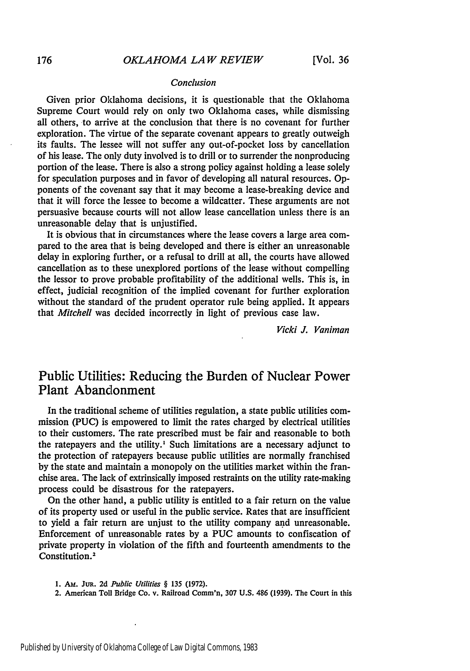#### *Conclusion*

Given prior Oklahoma decisions, it is questionable that the Oklahoma Supreme Court would rely on only two Oklahoma cases, while dismissing all others, to arrive at the conclusion that there is no covenant for further exploration. The virtue of the separate covenant appears to greatly outweigh its faults. The lessee will not suffer any out-of-pocket loss by cancellation of his lease. The only duty involved is to drill or to surrender the nonproducing portion of the lease. There is also a strong policy against holding a lease solely for speculation purposes and in favor of developing all natural resources. Opponents of the covenant say that it may become a lease-breaking device and that it will force the lessee to become a wildcatter. These arguments are not persuasive because courts will not allow lease cancellation unless there is an unreasonable delay that is unjustified.

It is obvious that in circumstances where the lease covers a large area compared to the area that is being developed and there is either an unreasonable delay in exploring further, or a refusal to drill at all, the courts have allowed cancellation as to these unexplored portions of the lease without compelling the lessor to prove probable profitability of the additional wells. This is, in effect, judicial recognition of the implied covenant for further exploration without the standard of the prudent operator rule being applied. It appears that *Mitchell* was decided incorrectly in light of previous case law.

*Vicki J. Vaniman*

# Public Utilities: Reducing the Burden of Nuclear Power Plant Abandonment

In the traditional scheme of utilities regulation, a state public utilities commission **(PUC)** is empowered to limit the rates charged **by** electrical utilities to their customers. The rate prescribed must be fair and reasonable to both the ratepayers and the utility.' Such limitations are a necessary adjunct to the protection of ratepayers because public utilities are normally franchised **by** the state and maintain a monopoly on the utilities market within the franchise area. The lack of extrinsically imposed restraints on the utility rate-making process could be disastrous for the ratepayers.

On the other hand, a public utility is entitled to a fair return on the value of its property used or useful in the public service. Rates that are insufficient to yield a fair return are unjust to the utility company and unreasonable. Enforcement of unreasonable rates **by** a **PUC** amounts to confiscation of private property in violation of the fifth and fourteenth amendments to the Constitution.<sup>2</sup>

*1.* **Am. JuR. 2d** *Public Utilities §* **135 (1972).**

 $\ddot{\phantom{a}}$ 

2. American Toll Bridge Co. v. Railroad Comm'n, **307 U.S.** 486 **(1939).** The Court in this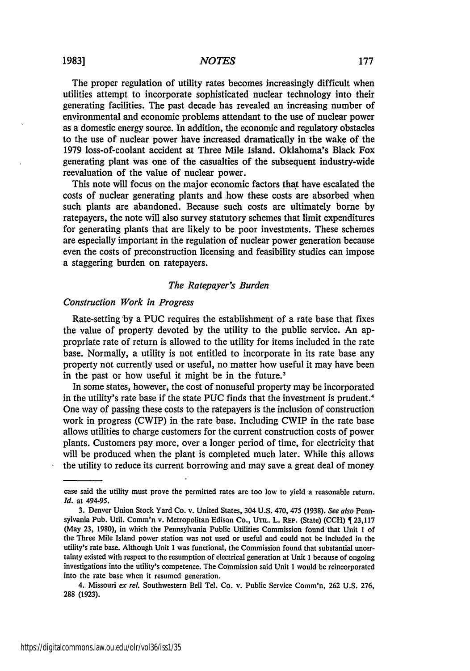The proper regulation of utility rates becomes increasingly difficult when utilities attempt to incorporate sophisticated nuclear technology into their generating facilities. The past decade has revealed an increasing number of environmental and economic problems attendant to the use of nuclear power as a domestic energy source. In addition, the economic and regulatory obstacles to the use of nuclear power have increased dramatically in the wake of the 1979 loss-of-coolant accident at Three Mile Island. Oklahoma's Black Fox generating plant was one of the casualties of the subsequent industry-wide reevaluation of the value of nuclear power.

This note will focus on the major economic factors that have escalated the costs of nuclear generating plants and how these costs are absorbed when such plants are abandoned. Because such costs are ultimately borne by ratepayers, the note will also survey statutory schemes that limit expenditures for generating plants that are likely to be poor investments. These schemes are especially important in the regulation of nuclear power generation because even the costs of preconstruction licensing and feasibility studies can impose a staggering burden on ratepayers.

#### *The Ratepayer's Burden*

#### *Construction Work in Progress*

Rate-setting **\*by** a **PUC** requires the establishment of a rate base that fixes the value of property devoted by the utility to the public service. An appropriate rate of return is allowed to the utility for items included in the rate base. Normally, a utility is not entitled to incorporate in its rate base any property not currently used or useful, no matter how useful it may have been in the past or how useful it might be in the future.<sup>3</sup>

In some states, however, the cost of nonuseful property may be incorporated in the utility's rate base if the state **PUC** finds that the investment is prudent.<sup>4</sup> One way of passing these costs to the ratepayers is the inclusion of construction work in progress (CWIP) in the rate base. Including CWIP in the rate base allows utilities to charge customers for the current construction costs of power plants. Customers pay more, over a longer period of time, for electricity that will be produced when the plant is completed much later. While this allows the utility to reduce its current borrowing and may save a great deal of money

case said the utility must prove the permitted rates are too low to yield a reasonable return. *Id.* at 494-95.

**<sup>3.</sup>** Denver Union Stock Yard Co. v. United States, 304 U.S. 470, 475 (1938). *See also* Pennsylvania Pub. Util. Comm'n v. Metropolitan Edison Co., UTI. L. REP. (State) (CCH) [23,117 (May **23,** 1980), in which the Pennsylvania Public Utilities Commission found that Unit 1 of the Three Mile Island power station was not used or useful and could not be included in the utility's rate base. Although Unit I was functional, the Commission found that substantial uncertainty existed with respect to the resumption of electrical generation at Unit **I** because of ongoing investigations into the utility's competence. The Commission said Unit 1 would be reincorporated into the rate base when it resumed generation.

<sup>4.</sup> Missouri *ex rel* Southwestern Bell Tel. Co. v. Public Service Comm'n, 262 U.S. 276, 288 **(1923).**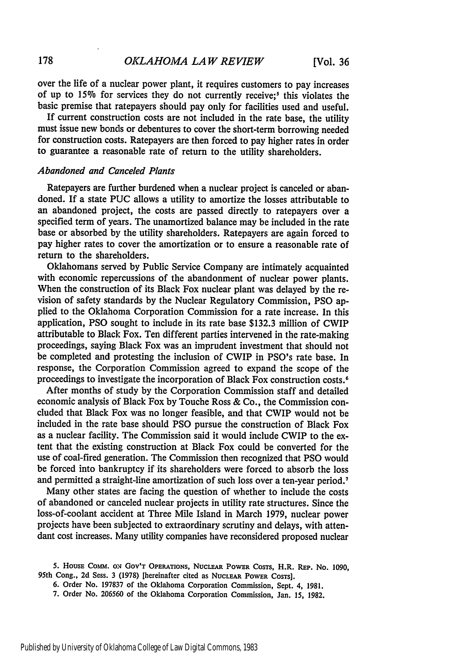over the life of a nuclear power plant, it requires customers to pay increases of up to 15% for services they do not currently receive;' this violates the basic premise that ratepayers should pay only for facilities used and useful.

If current construction costs are not included in the rate base, the utility must issue new bonds or debentures to cover the short-term borrowing needed for construction costs. Ratepayers are then forced to pay higher rates in order to guarantee a reasonable rate of return to the utility shareholders.

## *Abandoned and Canceled Plants*

Ratepayers are further burdened when a nuclear project is canceled or abandoned. If a state PUC allows a utility to amortize the losses attributable to an abandoned project, the costs are passed directly to ratepayers over a specified term of years. The unamortized balance may be included in the rate base or absorbed by the utility shareholders. Ratepayers are again forced to pay higher rates to cover the amortization or to ensure a reasonable rate of return to the shareholders.

Oklahomans served by Public Service Company are intimately acquainted with economic repercussions of the abandonment of nuclear power plants. When the construction of its Black Fox nuclear plant was delayed by the revision of safety standards by the Nuclear Regulatory Commission, PSO applied to the Oklahoma Corporation Commission for a rate increase. In this application, **PSO** sought to include in its rate base \$132.3 million of CWIP attributable to Black Fox. Ten different parties intervened in the rate-making proceedings, saying Black Fox was an imprudent investment that should not be completed and protesting the inclusion of CWIP in PSO's rate base. In response, the Corporation Commission agreed to expand the scope of the proceedings to investigate the incorporation of Black Fox construction costs. <sup>6</sup>

After months of study by the Corporation Commission staff and detailed economic analysis of Black Fox by Touche Ross & Co., the Commission concluded that Black Fox was no longer feasible, and that CWIP would not be included in the rate base should PSO pursue the construction of Black Fox as a nuclear facility. The Commission said it would include CWIP to the extent that the existing construction at Black Fox could be converted for the use of coal-fired generation. The Commission then recognized that PSO would be forced into bankruptcy if its shareholders were forced to absorb the loss and permitted a straight-line amortization of such loss over a ten-year period.<sup>7</sup>

Many other states are facing the question of whether to include the costs of abandoned or canceled nuclear projects in utility rate structures. Since the loss-of-coolant accident at Three Mile Island in March 1979, nuclear power projects have been subjected to extraordinary scrutiny and delays, with attendant cost increases. Many utility companies have reconsidered proposed nuclear

6. Order No. 197837 of the Oklahoma Corporation Commission, Sept. 4, 1981.

**<sup>5.</sup> HousE** Comm. **ON GOV'T OPERATIONS, NucL.EAR POWER COSTS,** H.R. **REP. No. 1090,** 95th Cong., **2d** Sess. **3** (1978) [hereinafter **cited as** NUCLEAR POWER **COSTS].**

<sup>7.</sup> Order No. 206560 of the Oklahoma Corporation Commission, Jan. 15, **1982.**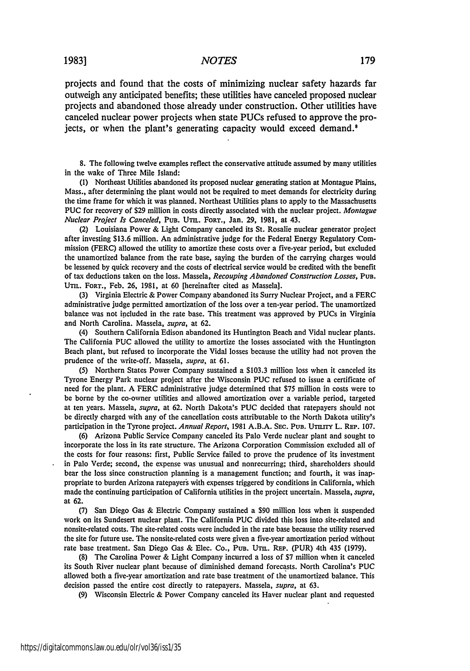# <sup>19831</sup> *NOTES*

projects and found that the costs of minimizing nuclear safety hazards far outweigh any anticipated benefits; these utilities have canceled proposed nuclear projects and abandoned those already under construction. Other utilities have canceled nuclear power projects when state PUCs refused to approve the projects, or when the plant's generating capacity would exceed demand.<sup>8</sup>

**8.** The following twelve examples reflect the conservative attitude assumed **by** many utilities in the wake of Three Mile Island:

**(1)** Northeast Utilities abandoned its proposed nuclear generating station at Montague Plains, Mass., after determining the plant would not be required to meet demands for electricity during the time frame for which it was planned. Northeast Utilities plans to apply to the Massachusetts **PUC** for recovery of \$29 million in costs directly associated with the nuclear project. *Montague Nuclear Project Is Canceled,* **PuB.** Uma. **FORT.,** Jan. **29, 1981,** at 43.

(2) Louisiana Power **&** Light Company canceled its St. Rosalie nuclear generator project after investing **\$13.6** million. An administrative judge for the Federal Energy Regulatory Commission (FERC) allowed the utility to amortize these costs over a five-year period, but excluded the unamortized balance from the rate base, saying the burden of the carrying charges would be lessened **by** quick recovery and the costs of electrical service would be credited with the benefit of tax deductions taken on the loss. Massela, *Recouping Abandoned Construction Losses,* **PUB. UTIL.** FORT., Feb. 26, 1981, at 60 [hereinafter cited as Massela].

(3) Virginia Electric & Power Company abandoned its Surry Nuclear Project, and a FERC administrative judge permitted amortization of the loss over a ten-year period. The unamortized balance was not included in the rate base. This treatment was approved by PUCs in Virginia and North Carolina. Massela, *supra,* at 62.

(4) Southern California Edison abandoned its Huntington Beach and Vidal nuclear plants. The California PUC allowed the utility to amortize the losses associated with the Huntington Beach plant, but refused to incorporate the Vidal losses because the utility had not proven the prudence of the write-off. Massela, *supra,* at 61.

(5) Northern States Power Company sustained a \$103.3 million loss when it canceled its Tyrone Energy Park nuclear project after the Wisconsin **PUC** refused to issue a certificate of need for the plant. A FERC administrative judge determined that \$75 million in costs were to be borne by the co-owner utilities and allowed amortization over a variable period, targeted at ten years. Massela, *supra,* at 62. North Dakota's **PUC** decided that ratepayers should not be directly charged with any of the cancellation costs attributable to the North Dakota utility's participation in the Tyrone project. Annual Report, 1981 A.B.A. SEC. PUB. UTILITY L. REP. 107.

(6) Arizona Public Service Company canceled its Palo Verde nuclear plant and sought to incorporate the loss in its rate structure. The Arizona Corporation Commission excluded all of the costs for four reasons: first, Public Service failed to prove the prudence of its investment in Palo Verde; second, the expense was unusual and nonrecurring; third, shareholders should bear the loss since construction planning is a management function; and fourth, it was inappropriate to burden Arizona ratepayers with expenses triggered by conditions in California, which made the continuing participation of California utilities in the project uncertain. Massela, *supra,* at 62.

(7) San Diego Gas & Electric Company sustained a **\$90** million loss when it suspended work on its Sundesert nuclear plant. The California **PUC** divided this loss into site-related and nonsite-related costs. The site-related costs were included in the rate base because the utility reserved the site for future use. The nonsite-related costs were given a five-year amortization period without rate base treatment. San Diego Gas & Elec. Co., PuB. UTIL. REP. (PUR) 4th 435 (1979).

(8) The Carolina Power & Light Company incurred a loss of \$7 million when it canceled its South River nuclear plant because of diminished demand forecasts. North Carolina's **PUC** allowed both a five-year amortization and rate base treatment of the unamortized balance. This decision passed the entire cost directly to ratepayers. Massela, *supra,* at 63.

(9) Wisconsin Electric & Power Company canceled its Haver nuclear plant and requested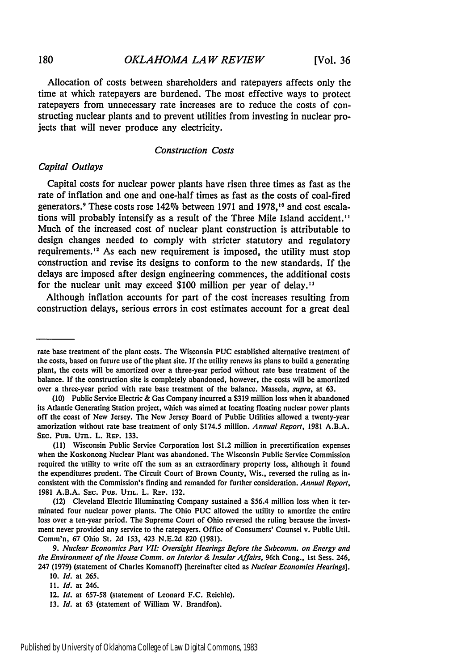Allocation of costs between shareholders and ratepayers affects only the time at which ratepayers are burdened. The most effective ways to protect ratepayers from unnecessary rate increases are to reduce the costs of constructing nuclear plants and to prevent utilities from investing in nuclear projects that will never produce any electricity.

#### Construction Costs

# *Capital Outlays*

Capital costs for nuclear power plants have risen three times as fast as the rate of inflation and one and one-half times as fast as the costs of coal-fired generators.9 These costs rose 142% between **1971** and **1978,10** and cost escalations will probably intensify as a result of the Three Mile Island accident." Much of the increased cost of nuclear plant construction is attributable to design changes needed to comply with stricter statutory and regulatory requirements.<sup>12</sup> As each new requirement is imposed, the utility must stop construction and revise its designs to conform to the new standards. **If** the delays are imposed after design engineering commences, the additional costs for the nuclear unit may exceed \$100 million per year of delay.<sup>13</sup>

Although inflation accounts for part of the cost increases resulting from construction delays, serious errors in cost estimates account for a great deal

rate base treatment of the plant costs. The Wisconsin PUC established alternative treatment of the costs, based on future use of the plant site. If the utility renews its plans to build a generating plant, the costs will be amortized over a three-year period without rate base treatment of the balance. If the construction site is completely abandoned, however, the costs will be amortized over a three-year period with rate base treatment of the balance. Massela, *supra,* at 63.

<sup>(10)</sup> Public Service Electric & Gas Company incurred a \$319 million loss when it abandoned its Atlantic Generating Station project, which was aimed at locating floating nuclear power plants off the coast of New Jersey. The New Jersey Board of Public Utilities allowed a twenty-year amorization without rate base treatment of only \$174.5 million. *Annual Report,* 1981 A.B.A. **SEC. PUB.** UTm. L. **REP. 133.**

**<sup>(11)</sup>** Wisconsin Public Service Corporation lost \$1.2 million in precertification expenses when the Koskonong Nuclear Plant was abandoned. The Wisconsin Public Service Commission required the utility to write off the sum as an extraordinary property loss, although it found the expenditures prudent. The Circuit Court of Brown County, Wis., reversed the ruling as inconsistent with the Commission's finding and remanded for further consideration. *Annual Report,* 1981 A.B.A. SEC. **PUB. UTIL.** L. REP. 132.

<sup>(12)</sup> Cleveland Electric Illuminating Company sustained a \$56.4 million loss when it terminated four nuclear power plants. The Ohio **PUC** allowed the utility to amortize the entire loss over a ten-year period. The Supreme Court of Ohio reversed the ruling because the investment never provided any service to the ratepayers. Office of Consumers' Counsel v. Public Util. Comm'n, 67 Ohio St. 2d 153, 423 N.E.2d 820 (1981).

*<sup>9.</sup> Nuclear Economics* Part V71. Oversight *Hearings* Before the Subcomm. on Energy and the Environment of the House Comm. on Interior *&* Insular Affairs, 96th Cong., 1st Sess. 246, 247 (1979) (statement of Charles Komanoff) [hereinafter cited as Nuclear Economics Hearings].

<sup>10.</sup> *Id.* at 265.

*<sup>11.</sup> Id.* at 246.

<sup>12.</sup> *Id.* at 657-58 (statement of Leonard F.C. Reichle).

**<sup>13.</sup>** *Id.* at **63** (statement of William W. Brandfon).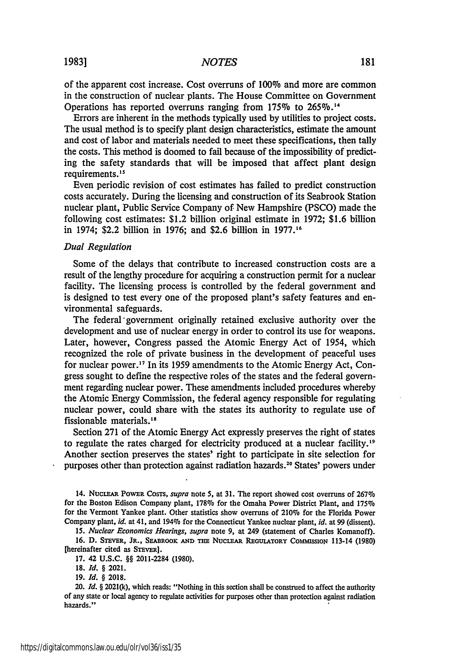of the apparent cost increase. Cost overruns of 100% and more are common in the construction of nuclear plants. The House Committee on Government Operations has reported overruns ranging from 175% to 265%.<sup>14</sup>

Errors are inherent in the methods typically used by utilities to project costs. The usual method is to specify plant design characteristics, estimate the amount and cost of labor and materials needed to meet these specifications, then tally the costs. This method is doomed to fail because of the impossibility of predicting the safety standards that will be imposed that affect plant design requirements.<sup>15</sup>

Even periodic revision of cost estimates has failed to predict construction costs accurately. During the licensing and construction of its Seabrook Station nuclear plant, Public Service Company of New Hampshire (PSCO) made the following cost estimates: \$1.2 billion original estimate in 1972; \$1.6 billion in 1974; \$2.2 billion in 1976; and \$2.6 billion in 1977.16

#### *Dual Regulation*

Some of the delays that contribute to increased construction costs are a result of the lengthy procedure for acquiring a construction permit for a nuclear facility. The licensing process is controlled by the federal government and is designed to test every one of the proposed plant's safety features and environmental safeguards.

The federal government originally retained exclusive authority over the development and use of nuclear energy in order to control its use for weapons. Later, however, Congress passed the Atomic Energy Act of 1954, which recognized the role of private business in the development of peaceful uses for nuclear power.<sup>17</sup> In its 1959 amendments to the Atomic Energy Act, Congress sought to define the respective roles of the states and the federal government regarding nuclear power. These amendments included procedures whereby the Atomic Energy Commission, the federal agency responsible for regulating nuclear power, could share with the states its authority to regulate use of fissionable materials.<sup>18</sup>

Section 271 of the Atomic Energy Act expressly preserves the right of states to regulate the rates charged for electricity produced at a nuclear facility.<sup>19</sup> Another section preserves the states' right to participate in site selection for purposes other than protection against radiation hazards.<sup>20</sup> States' powers under

<sup>14.</sup> NucEAxR POWER CosTs, *supra* note **5,** at **31.** The report showed cost overruns of 267% for the Boston Edison Company plant, **178%** for the Omaha Power District Plant, and 175% for the Vermont Yankee plant. Other statistics show overruns of 210% for the Florida Power Company plant, *id.* at 41, and 194% for the Connecticut Yankee nuclear plant, *id.* at 99 (dissent).

*<sup>15.</sup> Nuclear Economics Hearings, supra* note 9, at 249 (statement of Charles Komanoff). 16. D. STEVER, JR., SEABROOK AND THE NUCLEAR REGULATORY COMMISSION 113-14 (1980)

<sup>[</sup>hereinafter cited as STEVER]. 17. 42 **U.S.C.** §§ 2011-2284 (1980).

**<sup>18.</sup>** *Id. §* 2021.

<sup>19.</sup> *Id. §* **2018.**

<sup>20.</sup> *Id.* § 2021(k), which reads: "Nothing in this section shall be construed to affect the authority of any state or local agency to regulate activities for purposes other than protection against radiation hazards."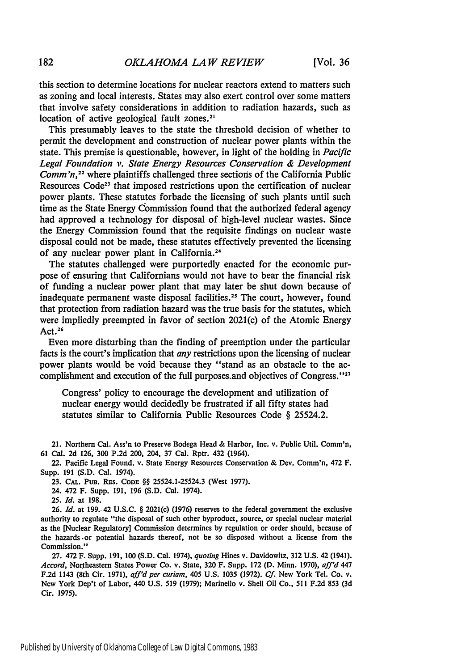this section to determine locations for nuclear reactors extend to matters such as zoning and local interests. States may also exert control over some matters that involve safety considerations in addition to radiation hazards, such as location of active geological fault zones.<sup>21</sup>

This presumably leaves to the state the threshold decision of whether to permit the development and construction of nuclear power plants within the state. This premise is questionable, however, in light of the holding in *Pacific Legal Foundation v. State Energy Resources Conservation & Development Comm'n*<sup>22</sup> where plaintiffs challenged three sections of the California Public Resources Code<sup>23</sup> that imposed restrictions upon the certification of nuclear power plants. These statutes forbade the licensing of such plants until such time as the State Energy Commission found that the authorized federal agency had approved a technology for disposal of high-level nuclear wastes. Since the Energy Commission found that the requisite findings on nuclear waste disposal could not be made, these statutes effectively prevented the licensing of any nuclear power plant in California. <sup>2</sup><sup>4</sup>

The statutes challenged were purportedly enacted for the economic purpose of ensuring that Californians would not have to bear the financial risk of funding a nuclear power plant that may later be shut down because of inadequate permanent waste disposal facilities.<sup>25</sup> The court, however, found that protection from radiation hazard was the true basis for the statutes, which were impliedly preempted in favor of section 2021(c) of the Atomic Energy Act. $26$ 

Even more disturbing than the finding of preemption under the particular facts is the court's implication that *any* restrictions upon the licensing of nuclear power plants would be void because they "stand as an obstacle to the accomplishment and execution of the full purposes, and objectives of Congress."<sup>27</sup>

Congress' policy to encourage the development and utilization of nuclear energy would decidedly be frustrated if all **fifty** states had statutes similar to California Public Resources Code § 25524.2.

21. Northern Cal. Ass'n to Preserve Bodega Head & Harbor, Inc. v. Public Util. Comm'n, 61 Cal. 2d 126, 300 P.2d 200, 204, **37** Cal. Rptr. 432 (1964).

22. Pacific Legal Found. v. State Energy Resources Conservation & Dev. Comm'n, 472 F. Supp. 191 (S.D. Cal. 1974).

23. CAL. PUB. RES. CODE §§ 25524.1-25524.3 (West 1977).

24. 472 F. Supp. 191, 196 (S.D. Cal. 1974).

*25. Id.* at 198.

**26.** *Id.* at 199.. 42 U.S.C. § 2021(c) (1976) reserves to the federal government the exclusive authority to regulate "the disposal of such other byproduct, source, or special nuclear material as the [Nuclear Regulatory] Commission determines **by** regulation or order should, because of the hazards **.or** potential hazards thereof, not be so disposed without a license from the Commission."

**27.** 472 F. Supp. 191, **100** (S.D. Cal. 1974), *quoting* Hines v. Davidowitz, 312 U.S. 42 (1941). *Accord,* Northeastern States Power Co. v. State, 320 F. Supp. 172 (D. Minn. 1970), *aff'd 447* F.2d 1143 (8th Cir. 1971), aff'd per curiam, 405 U.S. 1035 (1972). Cf. New York Tel. Co. v. New York Dep't of Labor, 440 U.S. 519 (1979); Marinello v. Shell Oil Co., 511 F.2d **853 (3d** Cir. 1975).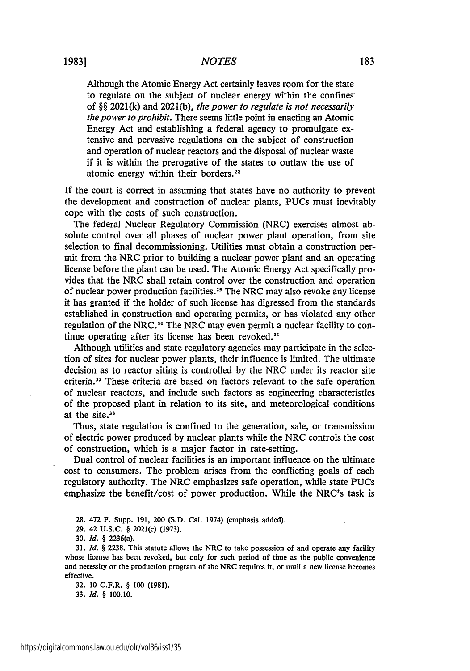## *NOTES*

Although the Atomic Energy Act certainly leaves room for the state to regulate on the subject of nuclear energy within the confines of §§ 2021(k) and 2021(b), *the power to regulate is not necessarily the power to prohibit.* There seems little point in enacting an Atomic Energy Act and establishing a federal agency to promulgate extensive and pervasive regulations on the subject of construction and operation of nuclear reactors and the disposal of nuclear waste if it is within the prerogative of the states to outlaw the use of atomic energy within their borders. <sup>28</sup>

If the court is correct in assuming that states have no authority to prevent the development and construction of nuclear plants, PUCs must inevitably cope with the costs of such construction.

The federal Nuclear Regulatory Commission (NRC) exercises almost absolute control over all phases of nuclear power plant operation, from site selection to final decommissioning. Utilities must obtain a construction permit from the NRC prior to building a nuclear power plant and an operating license before the plant can be used. The Atomic Energy Act specifically provides that the NRC shall retain control over the construction and operation of nuclear power production facilities.<sup>29</sup> The NRC may also revoke any license it has granted if the holder of such license has digressed from the standards established in construction and operating permits, or has violated any other regulation of the NRC.<sup>30</sup> The NRC may even permit a nuclear facility to continue operating after its license has been revoked.<sup>31</sup>

Although utilities and state regulatory agencies may participate in the selection of sites for nuclear power plants, their influence is limited. The ultimate decision as to reactor siting is controlled by the NRC under its reactor site  $c$ riteria.<sup>32</sup> These criteria are based on factors relevant to the safe operation of nuclear reactors, and include such factors as engineering characteristics of the proposed plant in relation to its site, and meteorological conditions at the site.<sup>33</sup>

Thus, state regulation is confined to the generation, sale, or transmission of electric power produced by nuclear plants while the NRC controls the cost of construction, which is a major factor in rate-setting.

Dual control of nuclear facilities is an important influence on the ultimate cost to consumers. The problem arises from the conflicting goals of each regulatory authority. The NRC emphasizes safe operation, while state PUCs emphasize the benefit/cost of power production. While the NRC's task is

28. 472 F. Supp. 191, 200 (S.D. Cal. 1974) (emphasis added).

**30.** *Id.* § 2236(a).

**31.** *Id.* § **2238.** This statute allows the NRC to take possession of and operate any facility whose license has been revoked, but only for such period of time as the public convenience and necessity or the production program of the NRC requires it, or until a new license becomes effective.

**32. 10** C.F.R. § **100 (1981). 33.** *Id. §* **100.10.**

**<sup>29.</sup>** 42 **U.S.C.** § 2021(c) **(1973).**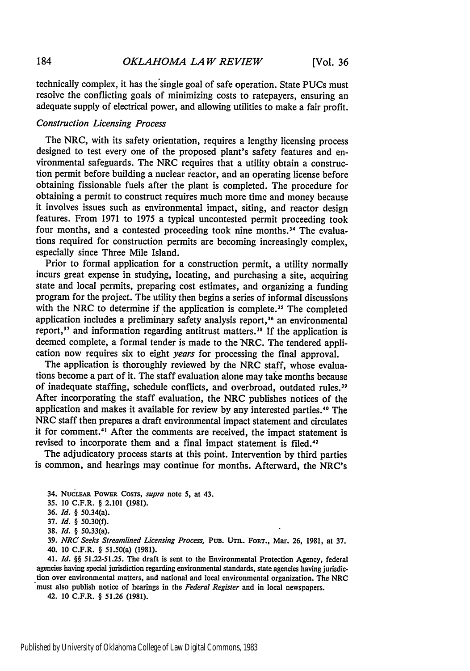technically complex, it has the single goal of safe operation. State PUCs must resolve the conflicting goals of minimizing costs to ratepayers, ensuring an adequate supply of electrical power, and allowing utilities to make a fair profit.

# *Construction Licensing Process*

The NRC, with its safety orientation, requires a lengthy licensing process designed to test every one of the proposed plant's safety features and environmental safeguards. The NRC requires that a utility obtain a construction permit before building a nuclear reactor, and an operating license before obtaining fissionable fuels after the plant is completed. The procedure for obtaining a permit to construct requires much more time and money because it involves issues such as environmental impact, siting, and reactor design features. From **1971** to 1975 a typical uncontested permit proceeding took four months, and a contested proceeding took nine months.<sup>34</sup> The evaluations required for construction permits are becoming increasingly complex, especially since Three Mile Island.

Prior to formal application for a construction permit, a utility normally incurs great expense in studying, locating, and purchasing a site, acquiring state and local permits, preparing cost estimates, and organizing a funding program for the project. The utility then begins a series of informal discussions with the NRC to determine if the application is complete.<sup>35</sup> The completed application includes a preliminary safety analysis report,<sup>36</sup> an environmental report,<sup>37</sup> and information regarding antitrust matters.<sup>38</sup> If the application is deemed complete, a formal tender is made to the "NRC. The tendered application now requires six to eight *years* for processing the final approval.

The application is thoroughly reviewed by the NRC staff, whose evaluations become a part of it. The staff evaluation alone may take months because of inadequate staffing, schedule conflicts, and overbroad, outdated rules.<sup>39</sup> After incorporating the staff evaluation, the NRC publishes notices of the application and makes it available for review by any interested parties."0 The NRC staff then prepares a draft environmental impact statement and circulates it for comment."' After the comments are received, the impact statement is revised to incorporate them and a final impact statement is filed.<sup>42</sup>

The adjudicatory process starts at this point. Intervention by third parties is common, and hearings may continue for months. Afterward, the NRC's

**38.** *Id.* § 50.33(a).

**39.** *NRC Seeks Streamlined Licensing Process,* PuB. Urn. FORT., Mar. **26, 1981,** at **37.** 40. 10 C.F.R. § 51.50(a) (1981).

41. *Id.* §§ 51.22-51.25. The draft is sent to the Environmental Protection Agency, federal agencies having special jurisdiction regarding environmental standards, state agencies having jurisdiction over environmental matters, and national and local environmental organization. The NRC must also publish notice of hearings in the *Federal Register* and in local newspapers.

42. **10** C.F.R. § 51.26 (1981).

<sup>34.</sup> **NucIEAR** PowER CosTs, *supra* note **5,** at 43.

*<sup>35.</sup>* 10 C.F.R. § 2.101 **(1981).**

**<sup>36.</sup>** *Id.* § 50.34(a).

<sup>37.</sup> *Id.* § 50.30(f).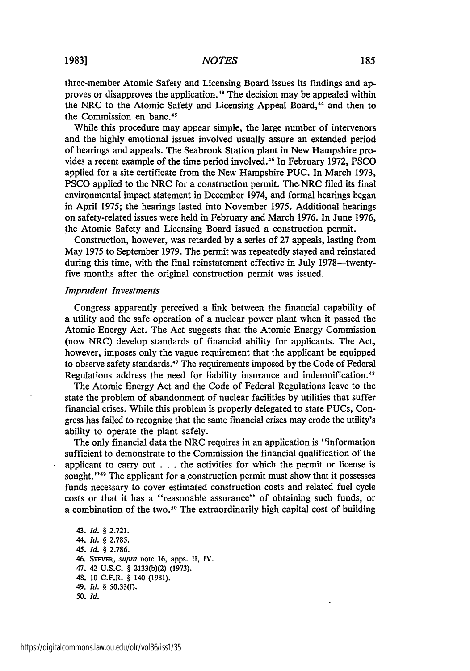three-member Atomic Safety and Licensing Board issues its findings and approves or disapproves the application.43 The decision may be appealed within the NRC to the Atomic Safety and Licensing Appeal Board,<sup>44</sup> and then to the Commission en banc.<sup>45</sup>

While this procedure may appear simple, the large number of intervenors and the highly emotional issues involved usually assure an extended period of hearings and appeals. The Seabrook Station plant in New Hampshire provides a recent example of the time period involved.<sup>46</sup> In February 1972, PSCO applied for a site certificate from the New Hampshire PUC. In March 1973, PSCO applied to the NRC for a construction permit. The.NRC filed its final environmental impact statement in December 1974, and formal hearings began in April 1975; the hearings lasted into November 1975. Additional hearings on safety-related issues were held in February and March 1976. In June 1976, the Atomic Safety and Licensing Board issued a construction permit.

Construction, however, was retarded by a series of 27 appeals, lasting from May 1975 to September 1979. The permit was repeatedly stayed and reinstated during this time, with the final reinstatement effective in July 1978—twentyfive months after the original construction permit was issued.

#### *Imprudent Investments*

Congress apparently perceived a link between the financial capability of a utility and the safe operation of a nuclear power plant when it passed the Atomic Energy Act. The Act suggests that the Atomic Energy Commission (now NRC) develop standards of financial ability for applicants. The Act, however, imposes only the vague requirement that the applicant be equipped to observe safety standards.<sup>47</sup> The requirements imposed by the Code of Federal Regulations address the need for liability insurance and indemnification.<sup>48</sup>

The Atomic Energy Act and the Code of Federal Regulations leave to the state the problem of abandonment of nuclear facilities by utilities that suffer financial crises. While this problem is properly delegated to state PUCs, Congress has failed to recognize that the same financial crises may erode the utility's ability to operate the plant safely.

The only financial data the NRC requires in an application is "information sufficient to demonstrate to the Commission the financial qualification of the applicant to carry out . . . the activities for which the permit or license is sought."<sup>49</sup> The applicant for a construction permit must show that it possesses funds necessary to cover estimated construction costs and related fuel cycle costs or that it has a "reasonable assurance" of obtaining such funds, or a combination of the two.<sup>50</sup> The extraordinarily high capital cost of building

43. *Id.* § 2.721. 44. *Id.* § 2.785. *45. Id.* § 2.786. 46. STEVER, *supra* note 16, apps. II, IV. 47. 42 U.S.C. § 2133(b)(2) (1973). 48. **10** C.F.R. § 140 (1981). 49. *Id.* § 50.33(f). *50. Id.*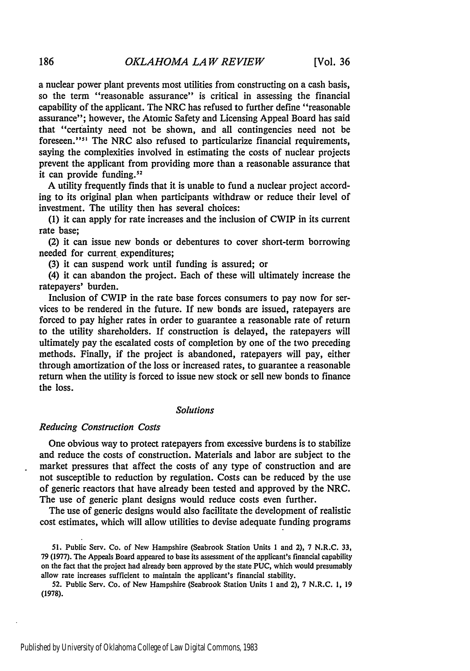a nuclear power plant prevents most utilities from constructing on a cash basis, so the term "reasonable assurance" is critical in assessing the financial capability of the applicant. The NRC has refused to further define "reasonable assurance"; however, the Atomic Safety and Licensing Appeal Board has said that "certainty need not be shown, and all contingencies need not be foreseen."<sup>51</sup> The NRC also refused to particularize financial requirements, saying the complexities involved in estimating the costs of nuclear projects prevent the applicant from providing more than a reasonable assurance that it can provide funding.<sup>52</sup>

A utility frequently finds that it is unable to fund a nuclear project according to its original plan when participants withdraw or reduce their level of investment. The utility then has several choices:

(1) it can apply for rate increases and the inclusion of CWIP in its current rate base;

(2) it can issue new bonds or debentures to cover short-term borrowing needed for current expenditures;

(3) it can suspend work until funding is assured; or

(4) it can abandon the project. Each of these will ultimately increase the ratepayers' burden.

Inclusion of CWIP in the rate base forces consumers to pay now for services to be rendered in the future. If new bonds are issued, ratepayers are forced to pay higher rates in order to guarantee a reasonable rate of return to the utility shareholders. If construction is delayed, the ratepayers will ultimately pay the escalated costs of completion by one of the two preceding methods. Finally, if the project is abandoned, ratepayers will pay, either through amortization of the loss or increased rates, to guarantee a reasonable return when the utility is forced to issue new stock or sell new bonds to finance the loss.

## *Solutions*

#### *Reducing Construction Costs*

One obvious way to protect ratepayers from excessive burdens is to stabilize and reduce the costs of construction. Materials and labor are subject to the market pressures that affect the costs of any type of construction and are not susceptible to reduction by regulation. Costs can be reduced by the use of generic reactors that have already been tested and approved by the NRC. The use of generic plant designs would reduce costs even further.

The use of generic designs would also facilitate the development of realistic cost estimates, which will allow utilities to devise adequate funding programs

51. Public Serv. Co. of New Hampshire (Seabrook Station Units 1 and 2), 7 N.R.C. 33, 79 (1977). The Appeals Board appeared to base its assessment of the applicant's financial capability on the fact that the project had already been approved by the state PUC, which would presumably allow rate increases sufficient to maintain the applicant's financial stability.

52. Public Serv. Co. of New Hampshire (Seabrook Station Units **I** and 2), 7 N.R.C. 1, 19 **(1978).**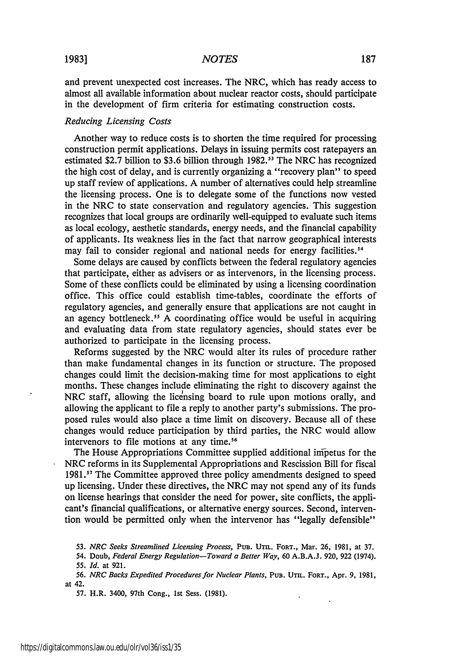#### *NOTES*

and prevent unexpected cost increases. The NRC, which has ready access to almost all available information about nuclear reactor costs, should participate in the development of firm criteria for estimating construction costs.

#### *Reducing Licensing Costs*

Another way to reduce costs is to shorten the time required for processing construction permit applications. Delays in issuing permits cost ratepayers an estimated \$2.7 billion to \$3.6 billion through **1982. <sup>5</sup> <sup>1</sup>**The NRC has recognized the high cost of delay, and is currently organizing a "recovery plan" to speed up staff review of applications. A number of alternatives could help streamline the licensing process. One is to delegate some of the functions now vested in the NRC to state conservation and regulatory agencies. This suggestion recognizes that local groups are ordinarily well-equipped to evaluate such items as local ecology, aesthetic standards, energy needs, and the financial capability of applicants. Its weakness lies in the fact that narrow geographical interests may fail to consider regional and national needs for energy facilities.<sup>54</sup>

Some delays are caused by conflicts between the federal regulatory agencies that participate, either as advisers or as intervenors, in the licensing process. Some of these conflicts could be eliminated by using a licensing coordination office. This office could establish time-tables, coordinate the efforts of regulatory agencies, and generally ensure that applications are not caught in an agency bottleneck." A coordinating office would be useful in acquiring and evaluating data from state regulatory agencies, should states ever be authorized to participate in the licensing process.

Reforms suggested by the NRC would alter its rules of procedure rather than make fundamental changes in its function or structure. The proposed changes could limit the decision-making time for most applications to eight months. These changes include eliminating the right to discovery against the NRC staff, allowing the licensing board to rule upon motions orally, and allowing the applicant to file a reply to another party's submissions. The proposed rules would also place a time limit on discovery. Because all of these changes would reduce participation by third parties, the NRC would allow intervenors to file motions at any time.<sup>56</sup>

The House Appropriations Committee supplied additional inipetus for the NRC reforms in its Supplemental Appropriations and Rescission Bill for fiscal 1981.<sup>57</sup> The Committee approved three policy amendments designed to speed up licensing. Under these directives, the NRC may not spend any of its funds on license hearings that consider the need for power, site conflicts, the applicant's financial qualifications, or alternative energy sources. Second, intervention would be permitted only when the intervenor has "legally defensible"

 $\lambda$ 

**57.** H.R. 3400, 97th Cong., **1st** Sess. **(1981).**

**<sup>53.</sup>** *NRC* Seeks *Streamlined Licensing Process,* PUB. Umr. **FORT.,** Mar. **26, 1981,** at **37.**

<sup>54.</sup> Doub, *Federal Energy Regulation-Toward a Better Way,* **60 A.B.A.J. 920, 922** (1974). *55. Id.* at **921.**

**<sup>56.</sup>** *NRC Backs Expedited Procedures for Nuclear Plants,* **PUB. UTIL. FORT.,** Apr. **9, 1981,** at 42.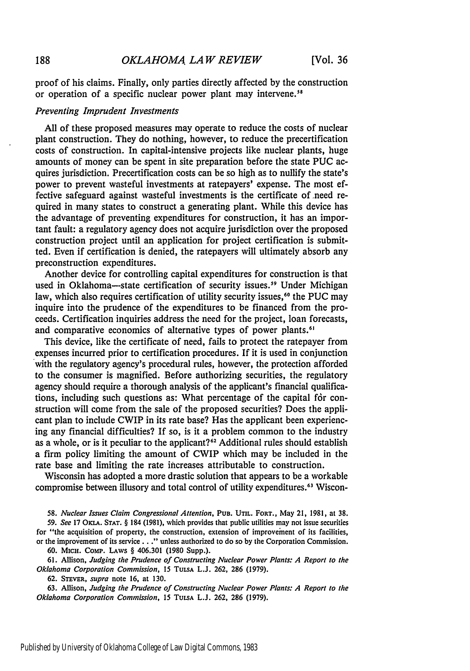proof of his claims. Finally, only parties directly affected by the construction or operation of a specific nuclear power plant may intervene.<sup>58</sup>

#### *Preventing Imprudent Investments*

All of these proposed measures may operate to reduce the costs of nuclear plant construction. They do nothing, however, to reduce the precertification costs of construction. In capital-intensive projects like nuclear plants, huge amounts of money can be spent in site preparation before the state **PUC** acquires jurisdiction. Precertification costs can be so high as to nullify the state's power to prevent wasteful investments at ratepayers' expense. The most effective safeguard against wasteful investments is the certificate of need required in many states to construct a generating plant. While this device has the advantage of preventing expenditures for construction, it has an important fault: a regulatory agency does not acquire jurisdiction over the proposed construction project until an application for project certification is submitted. Even if certification is denied, the ratepayers will ultimately absorb any preconstruction expenditures.

Another device for controlling capital expenditures for construction is that used in Oklahoma-state certification of security issues.<sup>59</sup> Under Michigan law, which also requires certification of utility security issues,<sup>60</sup> the PUC may inquire into the prudence of the expenditures to be financed from the proceeds. Certification inquiries address the need for the project, loan forecasts, and comparative economics of alternative types of power plants.<sup>6</sup>

This device, like the certificate of need, fails to protect the ratepayer from expenses incurred prior to certification procedures. If it is used in conjunction with the regulatory agency's procedural rules, however, the protection afforded to the consumer is magnified. Before authorizing securities, the regulatory agency should require a thorough analysis of the applicant's financial qualifications, including such questions as: What percentage of the capital for construction will come from the sale of the proposed securities? Does the applicant plan to include CWIP in its rate base? Has the applicant been experiencing any financial difficulties? If so, is it a problem common to the industry as a whole, or is it peculiar to the applicant?<sup>62</sup> Additional rules should establish a firm policy limiting the amount of CWIP which may be included in the rate base and limiting the rate increases attributable to construction.

Wisconsin has adopted a more drastic solution that appears to be a workable compromise between illusory and total control of utility expenditures.<sup>63</sup> Wiscon-

*58. Nuclear Issues Claim* Congressional *Attention,* **PUB. UTnL.** FORT., May 21, **1981,** at **38.**

*59. See* **17 OKu.A. STAT.** § 184 (1981), which provides that public utilities may not issue securities for "the acquisition of property, the construction, extension of improvement of its facilities, or the improvement of its service.. **."** unless authorized to do so by the Corporation Commission.

**60.** MICH. Comp. LAWS § 406.301 (1980 Supp.).

61. Allison, *Judging the Prudence of Constructing Nuclear Power Plants: A Report to the Oklahoma Corporation Commission, 15* **TULSA** L.J. 262, 286 (1979).

62. **STEVER,** *supra* note 16, at 130.

63. Allison, *Judging the Prudence of Constructing Nuclear Power Plants: A Report to the Oklahoma Corporation Commission,* 15 **TULSA** L.J. 262, 286 (1979).